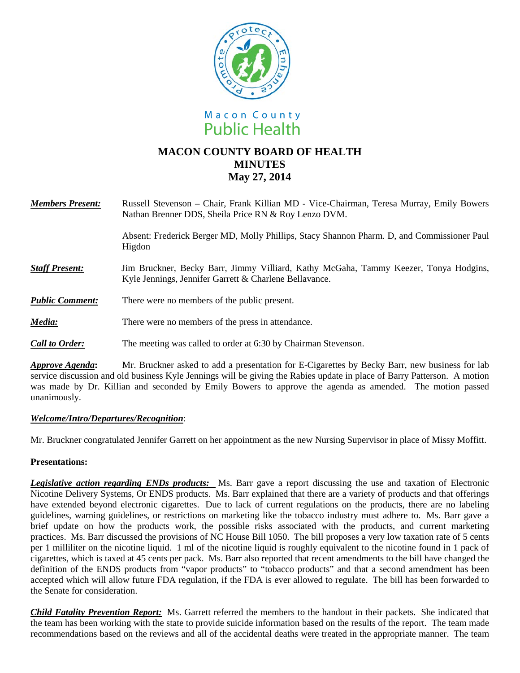



# **MACON COUNTY BOARD OF HEALTH MINUTES May 27, 2014**

| <b>Members Present:</b> | Russell Stevenson – Chair, Frank Killian MD - Vice-Chairman, Teresa Murray, Emily Bowers<br>Nathan Brenner DDS, Sheila Price RN & Roy Lenzo DVM. |
|-------------------------|--------------------------------------------------------------------------------------------------------------------------------------------------|
|                         | Absent: Frederick Berger MD, Molly Phillips, Stacy Shannon Pharm. D, and Commissioner Paul<br>Higdon                                             |
| <b>Staff Present:</b>   | Jim Bruckner, Becky Barr, Jimmy Villiard, Kathy McGaha, Tammy Keezer, Tonya Hodgins,<br>Kyle Jennings, Jennifer Garrett & Charlene Bellavance.   |
| <b>Public Comment:</b>  | There were no members of the public present.                                                                                                     |
| Media:                  | There were no members of the press in attendance.                                                                                                |
| <b>Call to Order:</b>   | The meeting was called to order at 6:30 by Chairman Stevenson.                                                                                   |
|                         | $\mathbf{M}_n$ . Denote the function of the construction $\mathbf{f}_n$ of $\mathbf{C}^*$ , and the Declinical function of $\mathbf{f}_n$ full   |

*Approve Agenda***:** Mr. Bruckner asked to add a presentation for E-Cigarettes by Becky Barr, new business for lab service discussion and old business Kyle Jennings will be giving the Rabies update in place of Barry Patterson. A motion was made by Dr. Killian and seconded by Emily Bowers to approve the agenda as amended. The motion passed unanimously.

## *Welcome/Intro/Departures/Recognition*:

Mr. Bruckner congratulated Jennifer Garrett on her appointment as the new Nursing Supervisor in place of Missy Moffitt.

# **Presentations:**

*Legislative action regarding ENDs products:* Ms. Barr gave a report discussing the use and taxation of Electronic Nicotine Delivery Systems, Or ENDS products. Ms. Barr explained that there are a variety of products and that offerings have extended beyond electronic cigarettes. Due to lack of current regulations on the products, there are no labeling guidelines, warning guidelines, or restrictions on marketing like the tobacco industry must adhere to. Ms. Barr gave a brief update on how the products work, the possible risks associated with the products, and current marketing practices. Ms. Barr discussed the provisions of NC House Bill 1050. The bill proposes a very low taxation rate of 5 cents per 1 milliliter on the nicotine liquid. 1 ml of the nicotine liquid is roughly equivalent to the nicotine found in 1 pack of cigarettes, which is taxed at 45 cents per pack. Ms. Barr also reported that recent amendments to the bill have changed the definition of the ENDS products from "vapor products" to "tobacco products" and that a second amendment has been accepted which will allow future FDA regulation, if the FDA is ever allowed to regulate. The bill has been forwarded to the Senate for consideration.

*Child Fatality Prevention Report:* Ms. Garrett referred the members to the handout in their packets. She indicated that the team has been working with the state to provide suicide information based on the results of the report. The team made recommendations based on the reviews and all of the accidental deaths were treated in the appropriate manner. The team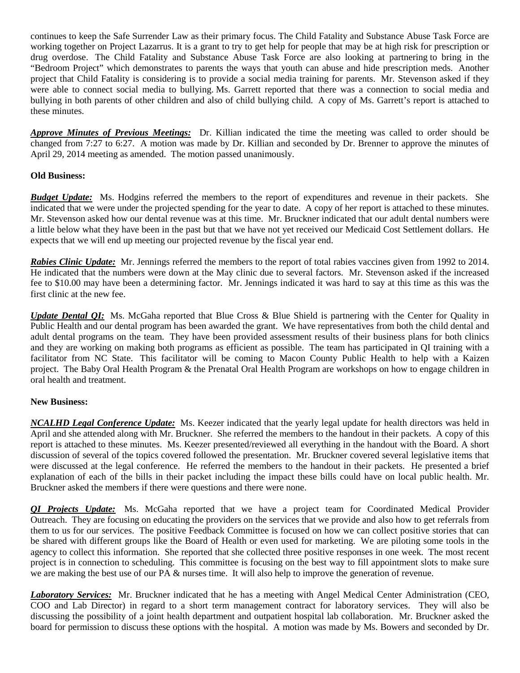continues to keep the Safe Surrender Law as their primary focus. The Child Fatality and Substance Abuse Task Force are working together on Project Lazarrus. It is a grant to try to get help for people that may be at high risk for prescription or drug overdose. The Child Fatality and Substance Abuse Task Force are also looking at partnering to bring in the "Bedroom Project" which demonstrates to parents the ways that youth can abuse and hide prescription meds. Another project that Child Fatality is considering is to provide a social media training for parents. Mr. Stevenson asked if they were able to connect social media to bullying. Ms. Garrett reported that there was a connection to social media and bullying in both parents of other children and also of child bullying child. A copy of Ms. Garrett's report is attached to these minutes.

*Approve Minutes of Previous Meetings:* Dr. Killian indicated the time the meeting was called to order should be changed from 7:27 to 6:27. A motion was made by Dr. Killian and seconded by Dr. Brenner to approve the minutes of April 29, 2014 meeting as amended. The motion passed unanimously.

# **Old Business:**

*Budget Update:* Ms. Hodgins referred the members to the report of expenditures and revenue in their packets. She indicated that we were under the projected spending for the year to date. A copy of her report is attached to these minutes. Mr. Stevenson asked how our dental revenue was at this time. Mr. Bruckner indicated that our adult dental numbers were a little below what they have been in the past but that we have not yet received our Medicaid Cost Settlement dollars. He expects that we will end up meeting our projected revenue by the fiscal year end.

*Rabies Clinic Update:* Mr. Jennings referred the members to the report of total rabies vaccines given from 1992 to 2014. He indicated that the numbers were down at the May clinic due to several factors. Mr. Stevenson asked if the increased fee to \$10.00 may have been a determining factor. Mr. Jennings indicated it was hard to say at this time as this was the first clinic at the new fee.

*Update Dental OI:* Ms. McGaha reported that Blue Cross & Blue Shield is partnering with the Center for Quality in Public Health and our dental program has been awarded the grant. We have representatives from both the child dental and adult dental programs on the team. They have been provided assessment results of their business plans for both clinics and they are working on making both programs as efficient as possible. The team has participated in QI training with a facilitator from NC State. This facilitator will be coming to Macon County Public Health to help with a Kaizen project. The Baby Oral Health Program & the Prenatal Oral Health Program are workshops on how to engage children in oral health and treatment.

## **New Business:**

*NCALHD Legal Conference Update:* Ms. Keezer indicated that the yearly legal update for health directors was held in April and she attended along with Mr. Bruckner. She referred the members to the handout in their packets. A copy of this report is attached to these minutes. Ms. Keezer presented/reviewed all everything in the handout with the Board. A short discussion of several of the topics covered followed the presentation. Mr. Bruckner covered several legislative items that were discussed at the legal conference. He referred the members to the handout in their packets. He presented a brief explanation of each of the bills in their packet including the impact these bills could have on local public health. Mr. Bruckner asked the members if there were questions and there were none.

*QI Projects Update:* Ms. McGaha reported that we have a project team for Coordinated Medical Provider Outreach. They are focusing on educating the providers on the services that we provide and also how to get referrals from them to us for our services. The positive Feedback Committee is focused on how we can collect positive stories that can be shared with different groups like the Board of Health or even used for marketing. We are piloting some tools in the agency to collect this information. She reported that she collected three positive responses in one week. The most recent project is in connection to scheduling. This committee is focusing on the best way to fill appointment slots to make sure we are making the best use of our PA & nurses time. It will also help to improve the generation of revenue.

*Laboratory Services:* Mr. Bruckner indicated that he has a meeting with Angel Medical Center Administration (CEO, COO and Lab Director) in regard to a short term management contract for laboratory services. They will also be discussing the possibility of a joint health department and outpatient hospital lab collaboration. Mr. Bruckner asked the board for permission to discuss these options with the hospital. A motion was made by Ms. Bowers and seconded by Dr.